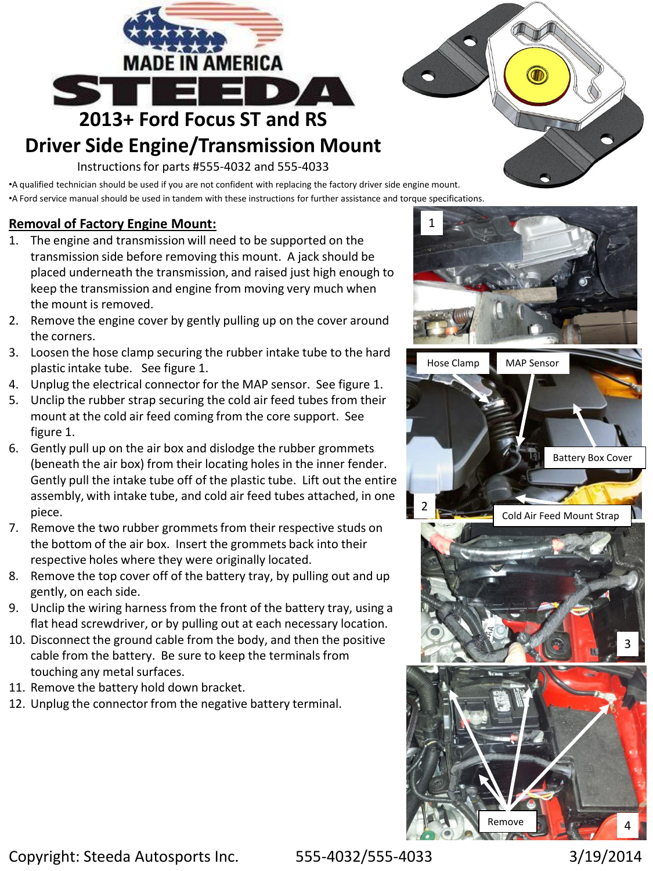

## **Driver Side Engine/Transmission Mount**

Instructions for parts #555-4032 and 555-4033

•A qualified technician should be used if you are not confident with replacing the factory driver side engine mount. •A Ford service manual should be used in tandem with these instructions for further assistance and torque specifications.

## **Removal of Factory Engine Mount:**

- 1. The engine and transmission will need to be supported on the transmission side before removing this mount. A jack should be placed underneath the transmission, and raised just high enough to keep the transmission and engine from moving very much when the mount is removed.
- 2. Remove the engine cover by gently pulling up on the cover around the corners.
- 3. Loosen the hose clamp securing the rubber intake tube to the hard plastic intake tube. See figure 1.
- 4. Unplug the electrical connector for the MAP sensor. See figure 1.
- 5. Unclip the rubber strap securing the cold air feed tubes from their mount at the cold air feed coming from the core support. See figure 1.
- 6. Gently pull up on the air box and dislodge the rubber grommets (beneath the air box) from their locating holes in the inner fender. Gently pull the intake tube off of the plastic tube. Lift out the entire assembly, with intake tube, and cold air feed tubes attached, in one piece.
- 7. Remove the two rubber grommets from their respective studs on the bottom of the air box. Insert the grommets back into their respective holes where they were originally located.
- 8. Remove the top cover off of the battery tray, by pulling out and up gently, on each side.
- 9. Unclip the wiring harness from the front of the battery tray, using a flat head screwdriver, or by pulling out at each necessary location.
- 10. Disconnect the ground cable from the body, and then the positive cable from the battery. Be sure to keep the terminals from touching any metal surfaces.
- 11. Remove the battery hold down bracket.
- 12. Unplug the connector from the negative battery terminal.



Copyright: Steeda Autosports Inc. 555-4032/555-4033 3/19/2014